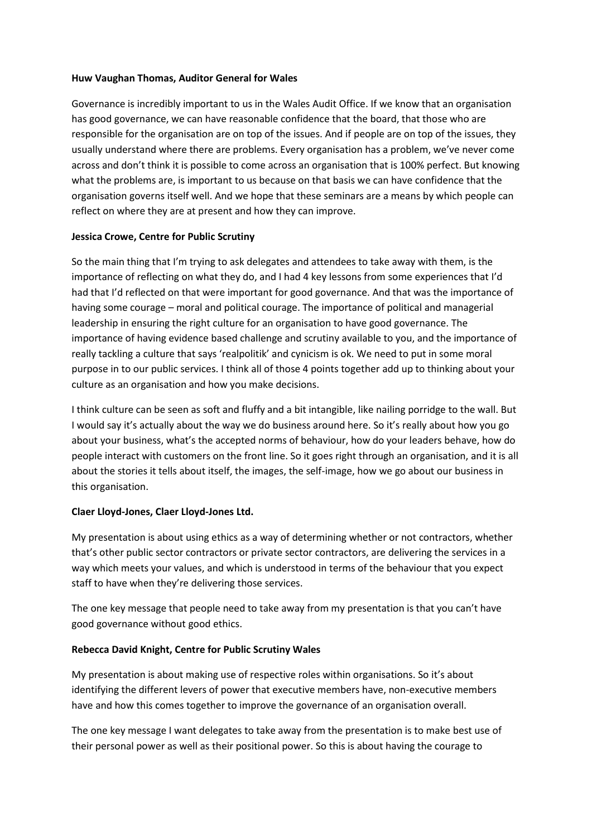#### **Huw Vaughan Thomas, Auditor General for Wales**

Governance is incredibly important to us in the Wales Audit Office. If we know that an organisation has good governance, we can have reasonable confidence that the board, that those who are responsible for the organisation are on top of the issues. And if people are on top of the issues, they usually understand where there are problems. Every organisation has a problem, we've never come across and don't think it is possible to come across an organisation that is 100% perfect. But knowing what the problems are, is important to us because on that basis we can have confidence that the organisation governs itself well. And we hope that these seminars are a means by which people can reflect on where they are at present and how they can improve.

#### **Jessica Crowe, Centre for Public Scrutiny**

So the main thing that I'm trying to ask delegates and attendees to take away with them, is the importance of reflecting on what they do, and I had 4 key lessons from some experiences that I'd had that I'd reflected on that were important for good governance. And that was the importance of having some courage – moral and political courage. The importance of political and managerial leadership in ensuring the right culture for an organisation to have good governance. The importance of having evidence based challenge and scrutiny available to you, and the importance of really tackling a culture that says 'realpolitik' and cynicism is ok. We need to put in some moral purpose in to our public services. I think all of those 4 points together add up to thinking about your culture as an organisation and how you make decisions.

I think culture can be seen as soft and fluffy and a bit intangible, like nailing porridge to the wall. But I would say it's actually about the way we do business around here. So it's really about how you go about your business, what's the accepted norms of behaviour, how do your leaders behave, how do people interact with customers on the front line. So it goes right through an organisation, and it is all about the stories it tells about itself, the images, the self-image, how we go about our business in this organisation.

# **Claer Lloyd-Jones, Claer Lloyd-Jones Ltd.**

My presentation is about using ethics as a way of determining whether or not contractors, whether that's other public sector contractors or private sector contractors, are delivering the services in a way which meets your values, and which is understood in terms of the behaviour that you expect staff to have when they're delivering those services.

The one key message that people need to take away from my presentation is that you can't have good governance without good ethics.

# **Rebecca David Knight, Centre for Public Scrutiny Wales**

My presentation is about making use of respective roles within organisations. So it's about identifying the different levers of power that executive members have, non-executive members have and how this comes together to improve the governance of an organisation overall.

The one key message I want delegates to take away from the presentation is to make best use of their personal power as well as their positional power. So this is about having the courage to